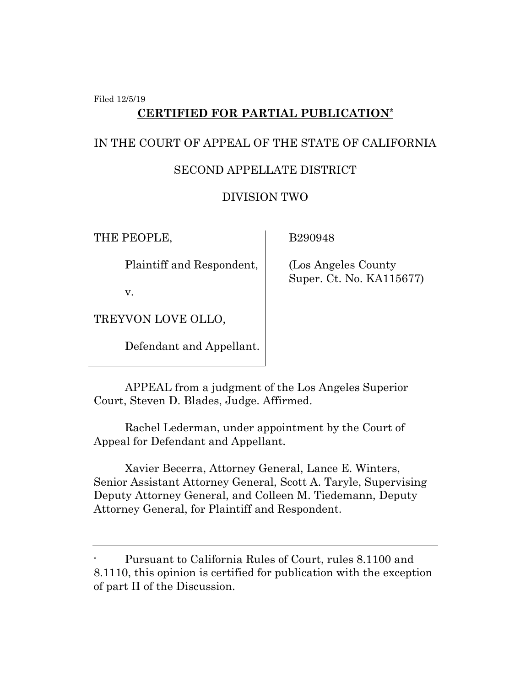Filed 12/5/19

## **CERTIFIED FOR PARTIAL PUBLICATION\***

## IN THE COURT OF APPEAL OF THE STATE OF CALIFORNIA

## SECOND APPELLATE DISTRICT

## DIVISION TWO

THE PEOPLE,

B290948

(Los Angeles County

Super. Ct. No. KA115677)

Plaintiff and Respondent,

v.

TREYVON LOVE OLLO,

Defendant and Appellant.

APPEAL from a judgment of the Los Angeles Superior

Court, Steven D. Blades, Judge. Affirmed.

Rachel Lederman, under appointment by the Court of Appeal for Defendant and Appellant.

Xavier Becerra, Attorney General, Lance E. Winters, Senior Assistant Attorney General, Scott A. Taryle, Supervising Deputy Attorney General, and Colleen M. Tiedemann, Deputy Attorney General, for Plaintiff and Respondent.

Pursuant to California Rules of Court, rules 8.1100 and 8.1110, this opinion is certified for publication with the exception of part II of the Discussion.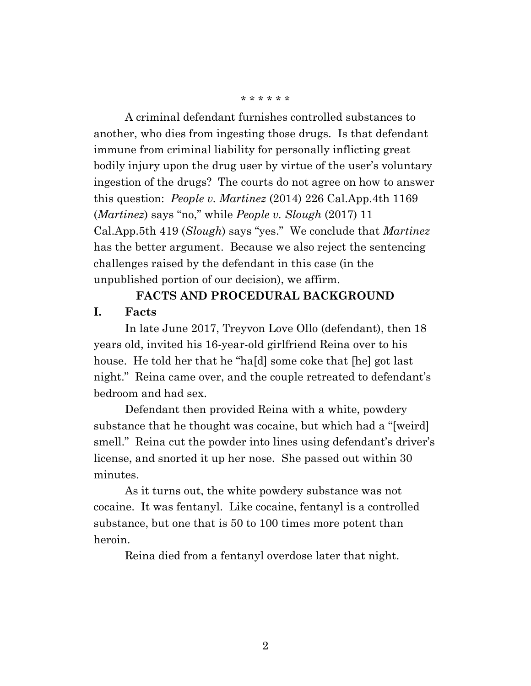#### \* \* \* \* \* \*

A criminal defendant furnishes controlled substances to another, who dies from ingesting those drugs. Is that defendant immune from criminal liability for personally inflicting great bodily injury upon the drug user by virtue of the user's voluntary ingestion of the drugs? The courts do not agree on how to answer this question: *People v. Martinez* (2014) 226 Cal.App.4th 1169 (*Martinez*) says "no," while *People v. Slough* (2017) 11 Cal.App.5th 419 (*Slough*) says "yes." We conclude that *Martinez* has the better argument. Because we also reject the sentencing challenges raised by the defendant in this case (in the unpublished portion of our decision), we affirm.

# **FACTS AND PROCEDURAL BACKGROUND**

#### **I. Facts**

In late June 2017, Treyvon Love Ollo (defendant), then 18 years old, invited his 16-year-old girlfriend Reina over to his house. He told her that he "ha[d] some coke that [he] got last night." Reina came over, and the couple retreated to defendant's bedroom and had sex.

Defendant then provided Reina with a white, powdery substance that he thought was cocaine, but which had a "[weird] smell." Reina cut the powder into lines using defendant's driver's license, and snorted it up her nose. She passed out within 30 minutes.

As it turns out, the white powdery substance was not cocaine. It was fentanyl. Like cocaine, fentanyl is a controlled substance, but one that is 50 to 100 times more potent than heroin.

Reina died from a fentanyl overdose later that night.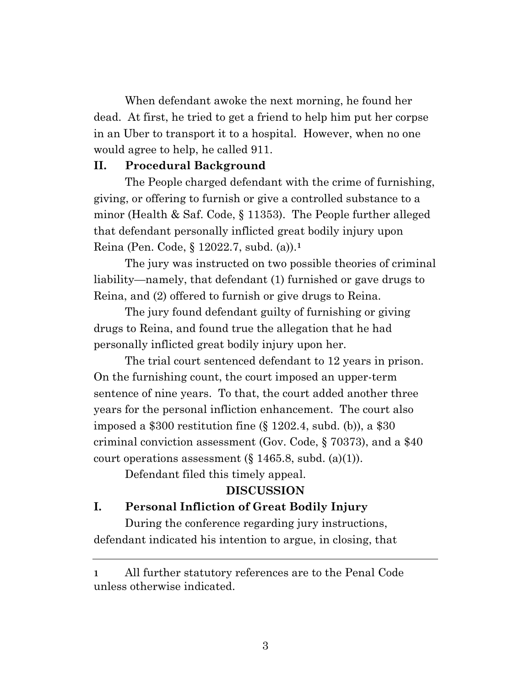When defendant awoke the next morning, he found her dead. At first, he tried to get a friend to help him put her corpse in an Uber to transport it to a hospital. However, when no one would agree to help, he called 911.

#### **II. Procedural Background**

The People charged defendant with the crime of furnishing, giving, or offering to furnish or give a controlled substance to a minor (Health & Saf. Code, § 11353). The People further alleged that defendant personally inflicted great bodily injury upon Reina (Pen. Code, § 12022.7, subd. (a)).**<sup>1</sup>**

The jury was instructed on two possible theories of criminal liability—namely, that defendant (1) furnished or gave drugs to Reina, and (2) offered to furnish or give drugs to Reina.

The jury found defendant guilty of furnishing or giving drugs to Reina, and found true the allegation that he had personally inflicted great bodily injury upon her.

The trial court sentenced defendant to 12 years in prison. On the furnishing count, the court imposed an upper-term sentence of nine years. To that, the court added another three years for the personal infliction enhancement. The court also imposed a \$300 restitution fine (§ 1202.4, subd. (b)), a \$30 criminal conviction assessment (Gov. Code, § 70373), and a \$40 court operations assessment  $(\S 1465.8, \text{subd. (a)(1)}).$ 

Defendant filed this timely appeal.

## **DISCUSSION**

### **I. Personal Infliction of Great Bodily Injury**

During the conference regarding jury instructions, defendant indicated his intention to argue, in closing, that

**<sup>1</sup>** All further statutory references are to the Penal Code unless otherwise indicated.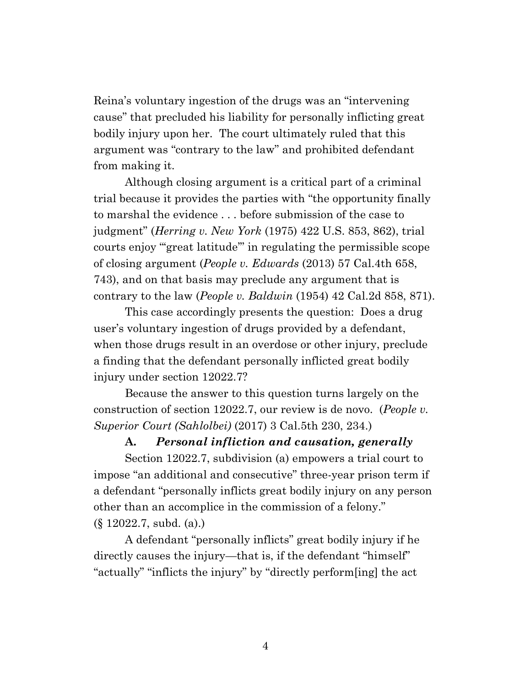Reina's voluntary ingestion of the drugs was an "intervening cause" that precluded his liability for personally inflicting great bodily injury upon her. The court ultimately ruled that this argument was "contrary to the law" and prohibited defendant from making it.

Although closing argument is a critical part of a criminal trial because it provides the parties with "the opportunity finally to marshal the evidence . . . before submission of the case to judgment" (*Herring v. New York* (1975) 422 U.S. 853, 862), trial courts enjoy "'great latitude'" in regulating the permissible scope of closing argument (*People v. Edwards* (2013) 57 Cal.4th 658, 743), and on that basis may preclude any argument that is contrary to the law (*People v. Baldwin* (1954) 42 Cal.2d 858, 871).

This case accordingly presents the question: Does a drug user's voluntary ingestion of drugs provided by a defendant, when those drugs result in an overdose or other injury, preclude a finding that the defendant personally inflicted great bodily injury under section 12022.7?

Because the answer to this question turns largely on the construction of section 12022.7, our review is de novo. (*People v. Superior Court (Sahlolbei)* (2017) 3 Cal.5th 230, 234.)

#### **A.** *Personal infliction and causation, generally*

Section 12022.7, subdivision (a) empowers a trial court to impose "an additional and consecutive" three-year prison term if a defendant "personally inflicts great bodily injury on any person other than an accomplice in the commission of a felony." (§ 12022.7, subd. (a).)

A defendant "personally inflicts" great bodily injury if he directly causes the injury—that is, if the defendant "himself" "actually" "inflicts the injury" by "directly perform[ing] the act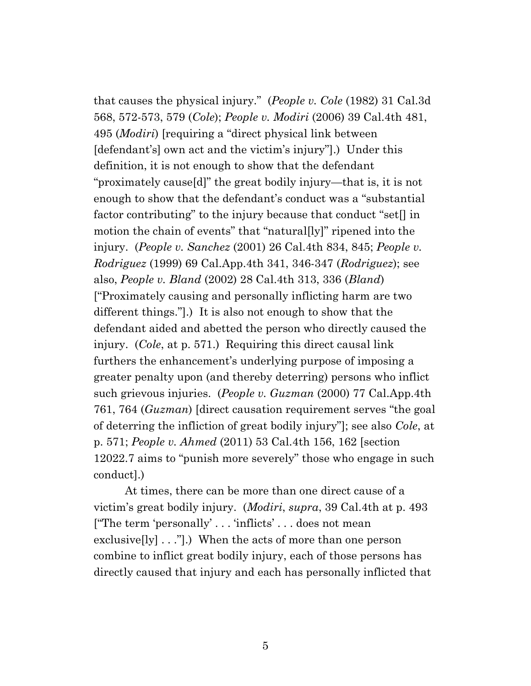that causes the physical injury." (*People v. Cole* (1982) 31 Cal.3d 568, 572-573, 579 (*Cole*); *People v. Modiri* (2006) 39 Cal.4th 481, 495 (*Modiri*) [requiring a "direct physical link between [defendant's] own act and the victim's injury"].) Under this definition, it is not enough to show that the defendant "proximately cause[d]" the great bodily injury—that is, it is not enough to show that the defendant's conduct was a "substantial factor contributing" to the injury because that conduct "set[] in motion the chain of events" that "natural[ly]" ripened into the injury. (*People v. Sanchez* (2001) 26 Cal.4th 834, 845; *People v. Rodriguez* (1999) 69 Cal.App.4th 341, 346-347 (*Rodriguez*); see also, *People v. Bland* (2002) 28 Cal.4th 313, 336 (*Bland*) ["Proximately causing and personally inflicting harm are two different things."].) It is also not enough to show that the defendant aided and abetted the person who directly caused the injury. (*Cole*, at p. 571.) Requiring this direct causal link furthers the enhancement's underlying purpose of imposing a greater penalty upon (and thereby deterring) persons who inflict such grievous injuries. (*People v. Guzman* (2000) 77 Cal.App.4th 761, 764 (*Guzman*) [direct causation requirement serves "the goal of deterring the infliction of great bodily injury"]; see also *Cole*, at p. 571; *People v. Ahmed* (2011) 53 Cal.4th 156, 162 [section 12022.7 aims to "punish more severely" those who engage in such conduct].)

At times, there can be more than one direct cause of a victim's great bodily injury. (*Modiri*, *supra*, 39 Cal.4th at p. 493 ["The term 'personally' . . . 'inflicts' . . . does not mean exclusive  $[ly] \dots$ "].) When the acts of more than one person combine to inflict great bodily injury, each of those persons has directly caused that injury and each has personally inflicted that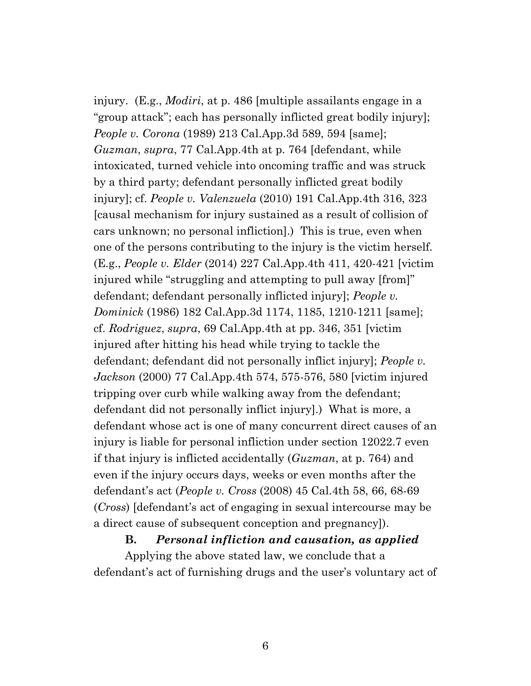injury. (E.g., *Modiri*, at p. 486 [multiple assailants engage in a "group attack"; each has personally inflicted great bodily injury]; *People v. Corona* (1989) 213 Cal.App.3d 589, 594 [same]; *Guzman*, *supra*, 77 Cal.App.4th at p. 764 [defendant, while intoxicated, turned vehicle into oncoming traffic and was struck by a third party; defendant personally inflicted great bodily injury]; cf. *People v. Valenzuela* (2010) 191 Cal.App.4th 316, 323 [causal mechanism for injury sustained as a result of collision of cars unknown; no personal infliction].) This is true, even when one of the persons contributing to the injury is the victim herself. (E.g., *People v. Elder* (2014) 227 Cal.App.4th 411, 420-421 [victim injured while "struggling and attempting to pull away [from]" defendant; defendant personally inflicted injury]; *People v. Dominick* (1986) 182 Cal.App.3d 1174, 1185, 1210-1211 [same]; cf. *Rodriguez*, *supra*, 69 Cal.App.4th at pp. 346, 351 [victim injured after hitting his head while trying to tackle the defendant; defendant did not personally inflict injury]; *People v. Jackson* (2000) 77 Cal.App.4th 574, 575-576, 580 [victim injured tripping over curb while walking away from the defendant; defendant did not personally inflict injury].) What is more, a defendant whose act is one of many concurrent direct causes of an injury is liable for personal infliction under section 12022.7 even if that injury is inflicted accidentally (*Guzman*, at p. 764) and even if the injury occurs days, weeks or even months after the defendant's act (*People v. Cross* (2008) 45 Cal.4th 58, 66, 68-69 (*Cross*) [defendant's act of engaging in sexual intercourse may be a direct cause of subsequent conception and pregnancy]).

#### **B.** *Personal infliction and causation, as applied*

Applying the above stated law, we conclude that a defendant's act of furnishing drugs and the user's voluntary act of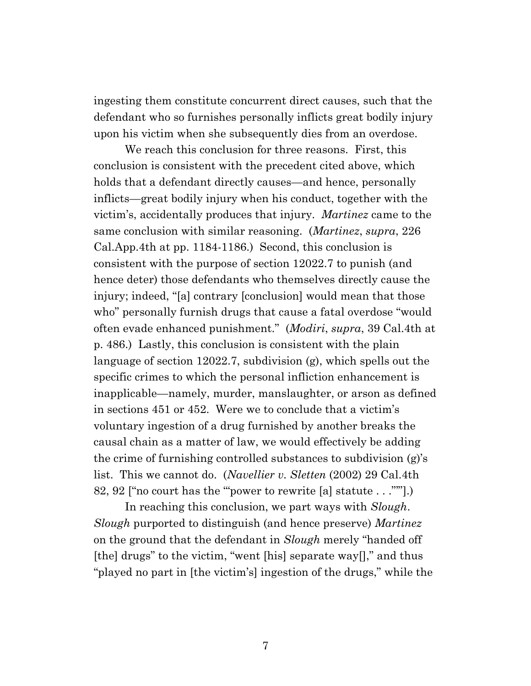ingesting them constitute concurrent direct causes, such that the defendant who so furnishes personally inflicts great bodily injury upon his victim when she subsequently dies from an overdose.

We reach this conclusion for three reasons. First, this conclusion is consistent with the precedent cited above, which holds that a defendant directly causes—and hence, personally inflicts—great bodily injury when his conduct, together with the victim's, accidentally produces that injury. *Martinez* came to the same conclusion with similar reasoning. (*Martinez*, *supra*, 226 Cal.App.4th at pp. 1184-1186.) Second, this conclusion is consistent with the purpose of section 12022.7 to punish (and hence deter) those defendants who themselves directly cause the injury; indeed, "[a] contrary [conclusion] would mean that those who" personally furnish drugs that cause a fatal overdose "would often evade enhanced punishment." (*Modiri*, *supra*, 39 Cal.4th at p. 486.) Lastly, this conclusion is consistent with the plain language of section 12022.7, subdivision (g), which spells out the specific crimes to which the personal infliction enhancement is inapplicable—namely, murder, manslaughter, or arson as defined in sections 451 or 452. Were we to conclude that a victim's voluntary ingestion of a drug furnished by another breaks the causal chain as a matter of law, we would effectively be adding the crime of furnishing controlled substances to subdivision (g)'s list. This we cannot do. (*Navellier v. Sletten* (2002) 29 Cal.4th 82, 92 ["no court has the '"power to rewrite [a] statute . . ."'"].)

In reaching this conclusion, we part ways with *Slough*. *Slough* purported to distinguish (and hence preserve) *Martinez*  on the ground that the defendant in *Slough* merely "handed off [the] drugs" to the victim, "went [his] separate way[]," and thus "played no part in [the victim's] ingestion of the drugs," while the

7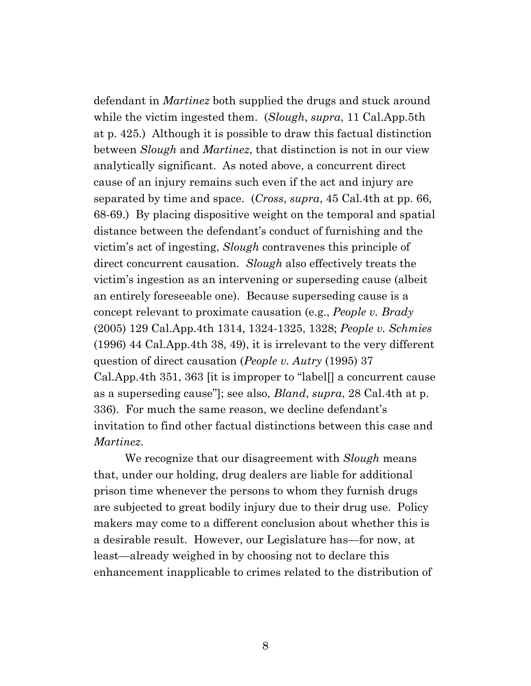defendant in *Martinez* both supplied the drugs and stuck around while the victim ingested them. (*Slough*, *supra*, 11 Cal.App.5th at p. 425.) Although it is possible to draw this factual distinction between *Slough* and *Martinez*, that distinction is not in our view analytically significant. As noted above, a concurrent direct cause of an injury remains such even if the act and injury are separated by time and space. (*Cross*, *supra*, 45 Cal.4th at pp. 66, 68-69.) By placing dispositive weight on the temporal and spatial distance between the defendant's conduct of furnishing and the victim's act of ingesting, *Slough* contravenes this principle of direct concurrent causation. *Slough* also effectively treats the victim's ingestion as an intervening or superseding cause (albeit an entirely foreseeable one). Because superseding cause is a concept relevant to proximate causation (e.g., *People v. Brady* (2005) 129 Cal.App.4th 1314, 1324-1325, 1328; *People v. Schmies* (1996) 44 Cal.App.4th 38, 49), it is irrelevant to the very different question of direct causation (*People v. Autry* (1995) 37 Cal.App.4th 351, 363 [it is improper to "label[] a concurrent cause as a superseding cause"]; see also, *Bland*, *supra*, 28 Cal.4th at p. 336). For much the same reason, we decline defendant's invitation to find other factual distinctions between this case and *Martinez*.

We recognize that our disagreement with *Slough* means that, under our holding, drug dealers are liable for additional prison time whenever the persons to whom they furnish drugs are subjected to great bodily injury due to their drug use. Policy makers may come to a different conclusion about whether this is a desirable result. However, our Legislature has—for now, at least—already weighed in by choosing not to declare this enhancement inapplicable to crimes related to the distribution of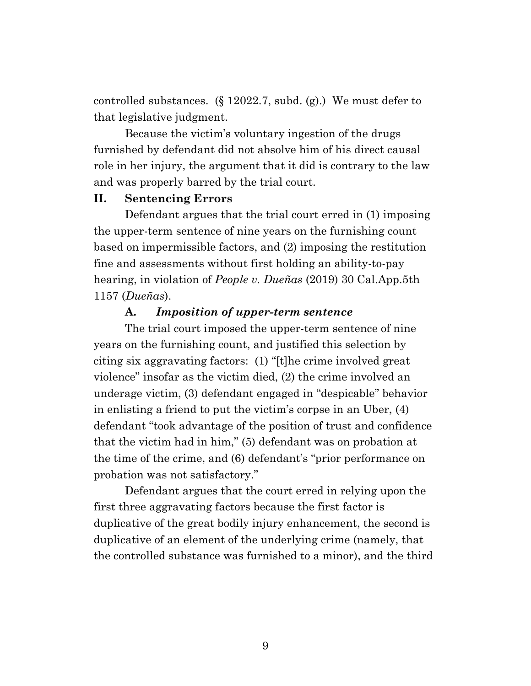controlled substances. (§ 12022.7, subd. (g).) We must defer to that legislative judgment.

Because the victim's voluntary ingestion of the drugs furnished by defendant did not absolve him of his direct causal role in her injury, the argument that it did is contrary to the law and was properly barred by the trial court.

#### **II. Sentencing Errors**

Defendant argues that the trial court erred in (1) imposing the upper-term sentence of nine years on the furnishing count based on impermissible factors, and (2) imposing the restitution fine and assessments without first holding an ability-to-pay hearing, in violation of *People v. Dueñas* (2019) 30 Cal.App.5th 1157 (*Dueñas*).

#### **A.** *Imposition of upper-term sentence*

The trial court imposed the upper-term sentence of nine years on the furnishing count, and justified this selection by citing six aggravating factors: (1) "[t]he crime involved great violence" insofar as the victim died, (2) the crime involved an underage victim, (3) defendant engaged in "despicable" behavior in enlisting a friend to put the victim's corpse in an Uber, (4) defendant "took advantage of the position of trust and confidence that the victim had in him," (5) defendant was on probation at the time of the crime, and (6) defendant's "prior performance on probation was not satisfactory."

Defendant argues that the court erred in relying upon the first three aggravating factors because the first factor is duplicative of the great bodily injury enhancement, the second is duplicative of an element of the underlying crime (namely, that the controlled substance was furnished to a minor), and the third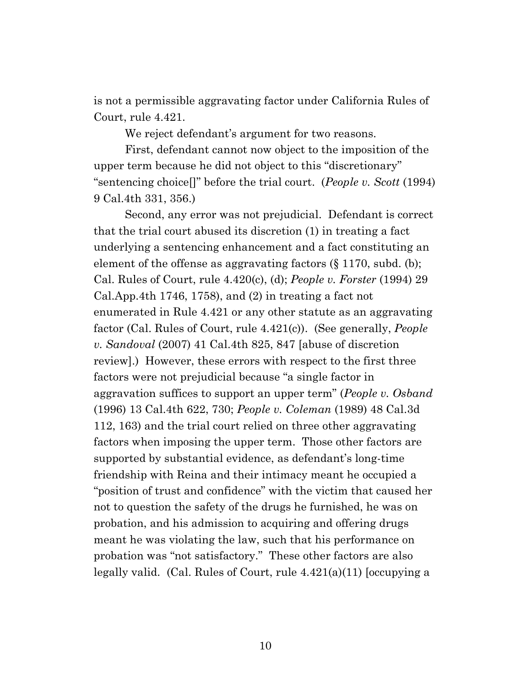is not a permissible aggravating factor under California Rules of Court, rule 4.421.

We reject defendant's argument for two reasons.

First, defendant cannot now object to the imposition of the upper term because he did not object to this "discretionary" "sentencing choice[]" before the trial court. (*People v. Scott* (1994) 9 Cal.4th 331, 356.)

Second, any error was not prejudicial. Defendant is correct that the trial court abused its discretion (1) in treating a fact underlying a sentencing enhancement and a fact constituting an element of the offense as aggravating factors (§ 1170, subd. (b); Cal. Rules of Court, rule 4.420(c), (d); *People v. Forster* (1994) 29 Cal.App.4th 1746, 1758), and  $(2)$  in treating a fact not enumerated in Rule 4.421 or any other statute as an aggravating factor (Cal. Rules of Court, rule 4.421(c)). (See generally, *People v. Sandoval* (2007) 41 Cal.4th 825, 847 [abuse of discretion review].) However, these errors with respect to the first three factors were not prejudicial because "a single factor in aggravation suffices to support an upper term" (*People v. Osband* (1996) 13 Cal.4th 622, 730; *People v. Coleman* (1989) 48 Cal.3d 112, 163) and the trial court relied on three other aggravating factors when imposing the upper term. Those other factors are supported by substantial evidence, as defendant's long-time friendship with Reina and their intimacy meant he occupied a "position of trust and confidence" with the victim that caused her not to question the safety of the drugs he furnished, he was on probation, and his admission to acquiring and offering drugs meant he was violating the law, such that his performance on probation was "not satisfactory." These other factors are also legally valid. (Cal. Rules of Court, rule 4.421(a)(11) [occupying a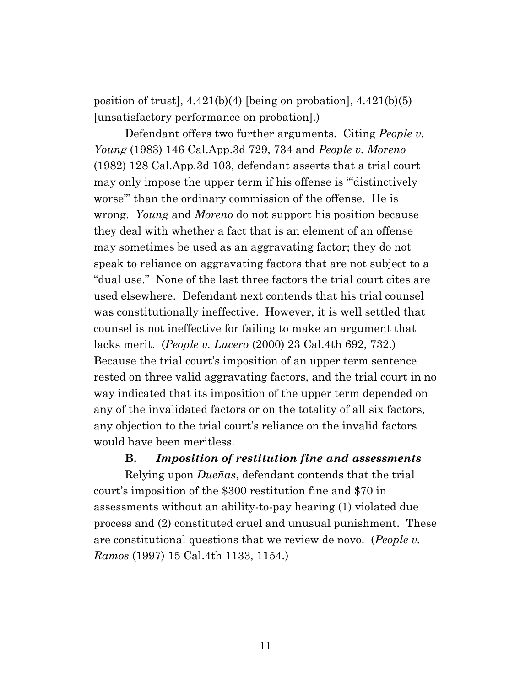position of trust], 4.421(b)(4) [being on probation], 4.421(b)(5) [unsatisfactory performance on probation].)

Defendant offers two further arguments. Citing *People v. Young* (1983) 146 Cal.App.3d 729, 734 and *People v. Moreno* (1982) 128 Cal.App.3d 103, defendant asserts that a trial court may only impose the upper term if his offense is "'distinctively worse'" than the ordinary commission of the offense. He is wrong. *Young* and *Moreno* do not support his position because they deal with whether a fact that is an element of an offense may sometimes be used as an aggravating factor; they do not speak to reliance on aggravating factors that are not subject to a "dual use." None of the last three factors the trial court cites are used elsewhere. Defendant next contends that his trial counsel was constitutionally ineffective. However, it is well settled that counsel is not ineffective for failing to make an argument that lacks merit. (*People v. Lucero* (2000) 23 Cal.4th 692, 732.) Because the trial court's imposition of an upper term sentence rested on three valid aggravating factors, and the trial court in no way indicated that its imposition of the upper term depended on any of the invalidated factors or on the totality of all six factors, any objection to the trial court's reliance on the invalid factors would have been meritless.

#### **B.** *Imposition of restitution fine and assessments*

Relying upon *Dueñas*, defendant contends that the trial court's imposition of the \$300 restitution fine and \$70 in assessments without an ability-to-pay hearing (1) violated due process and (2) constituted cruel and unusual punishment. These are constitutional questions that we review de novo. (*People v. Ramos* (1997) 15 Cal.4th 1133, 1154.)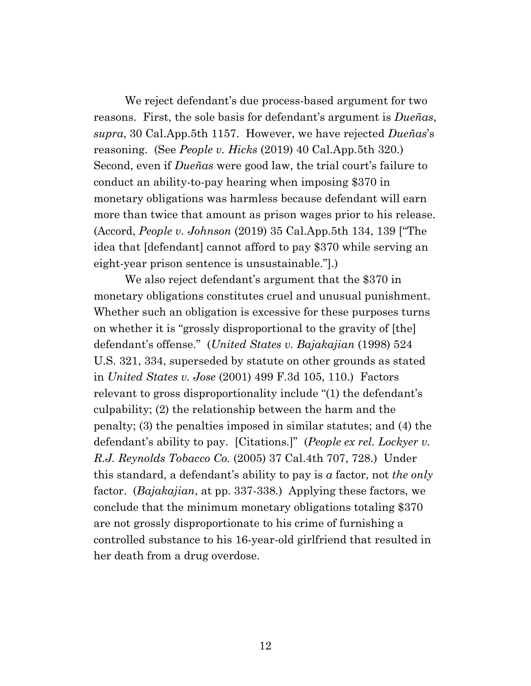We reject defendant's due process-based argument for two reasons. First, the sole basis for defendant's argument is *Dueñas*, *supra*, 30 Cal.App.5th 1157. However, we have rejected *Dueñas*'s reasoning. (See *People v. Hicks* (2019) 40 Cal.App.5th 320.) Second, even if *Dueñas* were good law, the trial court's failure to conduct an ability-to-pay hearing when imposing \$370 in monetary obligations was harmless because defendant will earn more than twice that amount as prison wages prior to his release. (Accord, *People v. Johnson* (2019) 35 Cal.App.5th 134, 139 ["The idea that [defendant] cannot afford to pay \$370 while serving an eight-year prison sentence is unsustainable."].)

We also reject defendant's argument that the \$370 in monetary obligations constitutes cruel and unusual punishment. Whether such an obligation is excessive for these purposes turns on whether it is "grossly disproportional to the gravity of [the] defendant's offense." (*United States v. Bajakajian* (1998) 524 U.S. 321, 334, superseded by statute on other grounds as stated in *United States v. Jose* (2001) 499 F.3d 105, 110.) Factors relevant to gross disproportionality include "(1) the defendant's culpability; (2) the relationship between the harm and the penalty; (3) the penalties imposed in similar statutes; and (4) the defendant's ability to pay. [Citations.]" (*People ex rel. Lockyer v. R.J. Reynolds Tobacco Co.* (2005) 37 Cal.4th 707, 728.) Under this standard, a defendant's ability to pay is *a* factor, not *the only* factor. (*Bajakajian*, at pp. 337-338.) Applying these factors, we conclude that the minimum monetary obligations totaling \$370 are not grossly disproportionate to his crime of furnishing a controlled substance to his 16-year-old girlfriend that resulted in her death from a drug overdose.